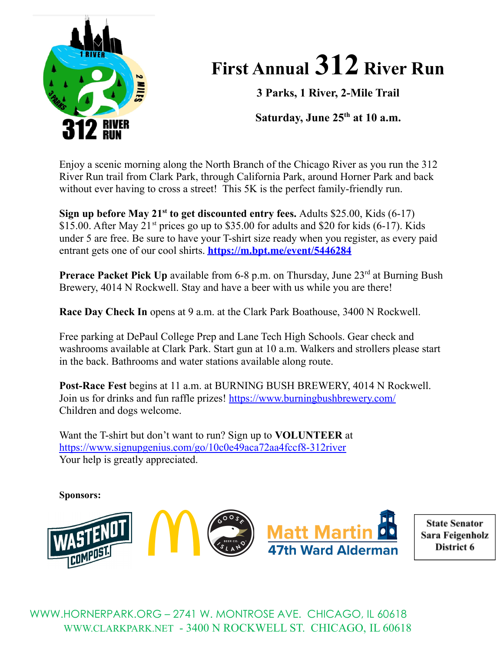

## **First Annual 312 River Run**

**3 Parks, 1 River, 2-Mile Trail**

**Saturday, June 25 th at 10 a.m.**

Enjoy a scenic morning along the North Branch of the Chicago River as you run the 312 River Run trail from Clark Park, through California Park, around Horner Park and back without ever having to cross a street! This 5K is the perfect family-friendly run.

**Sign up before May 21 st to get discounted entry fees.** Adults \$25.00, Kids (6-17) \$15.00. After May  $21^{st}$  prices go up to \$35.00 for adults and \$20 for kids (6-17). Kids under 5 are free. Be sure to have your T-shirt size ready when you register, as every paid entrant gets one of our cool shirts. **<https://m.bpt.me/event/5446284>**

**Prerace Packet Pick Up** available from 6-8 p.m. on Thursday, June 23<sup>rd</sup> at Burning Bush Brewery, 4014 N Rockwell. Stay and have a beer with us while you are there!

**Race Day Check In** opens at 9 a.m. at the Clark Park Boathouse, 3400 N Rockwell.

Free parking at DePaul College Prep and Lane Tech High Schools. Gear check and washrooms available at Clark Park. Start gun at 10 a.m. Walkers and strollers please start in the back. Bathrooms and water stations available along route.

**Post-Race Fest** begins at 11 a.m. at BURNING BUSH BREWERY, 4014 N Rockwell. Join us for drinks and fun raffle prizes! <https://www.burningbushbrewery.com/> Children and dogs welcome.

Want the T-shirt but don't want to run? Sign up to **VOLUNTEER** at <https://www.signupgenius.com/go/10c0e49aca72aa4fccf8-312river> Your help is greatly appreciated.

**Sponsors:**



**State Senator** Sara Feigenholz District 6

[WWW.HORNERPARK.ORG](http://www.hornerpark.org) – 2741 W. MONTROSE AVE. CHICAGO, IL 60618 [WWW.CLARKPARK.NET](http://www.clarkpark.net) - 3400 N ROCKWELL ST. CHICAGO, IL 60618